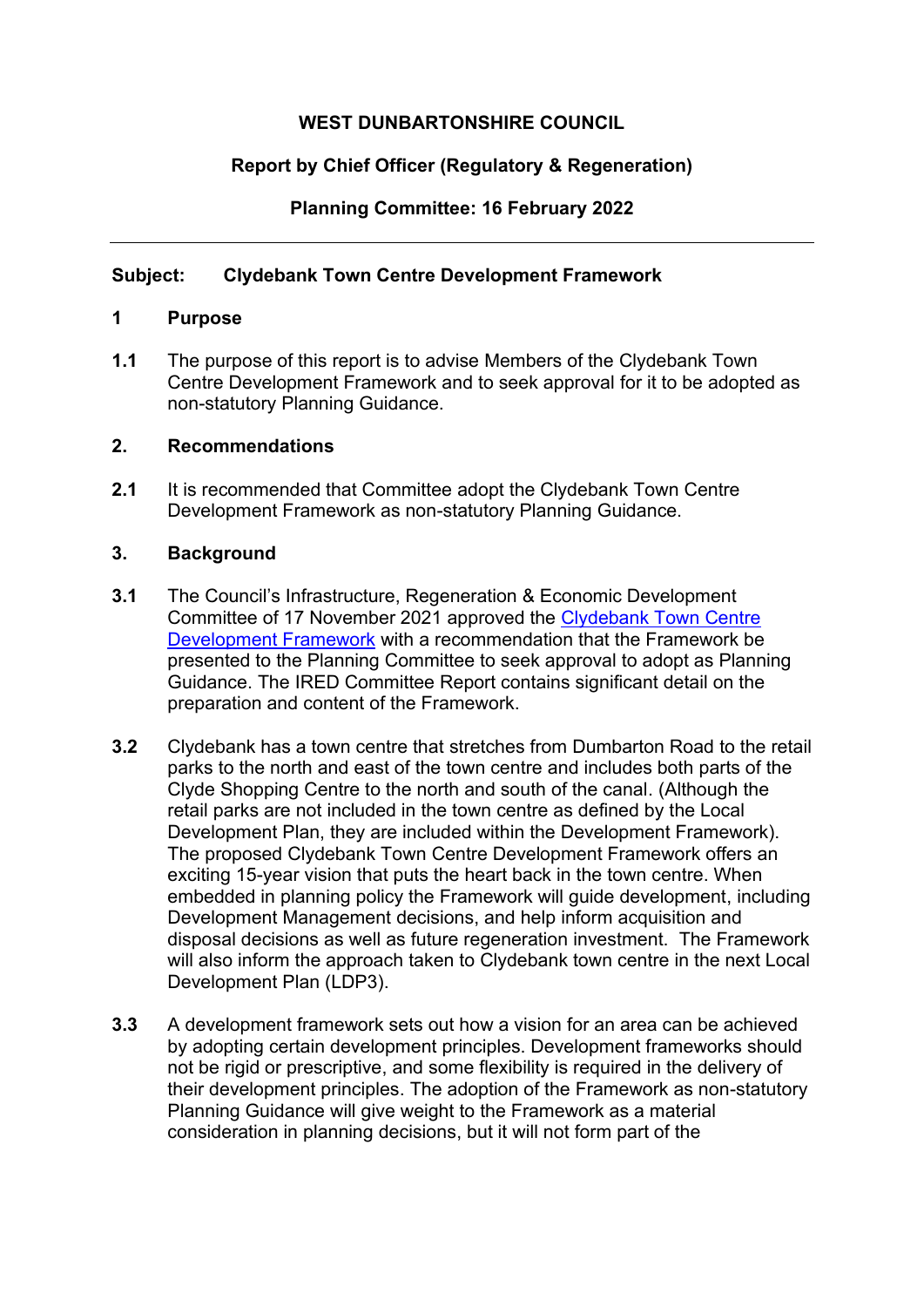# **WEST DUNBARTONSHIRE COUNCIL**

# **Report by Chief Officer (Regulatory & Regeneration)**

**Planning Committee: 16 February 2022** 

# **Subject: Clydebank Town Centre Development Framework**

### **1 Purpose**

**1.1** The purpose of this report is to advise Members of the Clydebank Town Centre Development Framework and to seek approval for it to be adopted as non-statutory Planning Guidance.

### **2. Recommendations**

**2.1** It is recommended that Committee adopt the Clydebank Town Centre Development Framework as non-statutory Planning Guidance.

## **3. Background**

- **3.1** The Council's Infrastructure, Regeneration & Economic Development Committee of 17 November 2021 approved the [Clydebank Town Centre](https://wdccmis.west-dunbarton.gov.uk/CMIS5/Document.ashx?czJKcaeAi5tUFL1DTL2UE4zNRBcoShgo=RdpAGpbz3I6MA%2b%2foiOu%2bhAUbmHgnDDUf%2ffzrTxLGtMkiazD4Tda8ng%3d%3d&rUzwRPf%2bZ3zd4E7Ikn8Lyw%3d%3d=pwRE6AGJFLDNlh225F5QMaQWCtPHwdhUfCZ%2fLUQzgA2uL5jNRG4jdQ%3d%3d&mCTIbCubSFfXsDGW9IXnlg%3d%3d=hFflUdN3100%3d&kCx1AnS9%2fpWZQ40DXFvdEw%3d%3d=hFflUdN3100%3d&uJovDxwdjMPoYv%2bAJvYtyA%3d%3d=ctNJFf55vVA%3d&FgPlIEJYlotS%2bYGoBi5olA%3d%3d=NHdURQburHA%3d&d9Qjj0ag1Pd993jsyOJqFvmyB7X0CSQK=ctNJFf55vVA%3d&WGewmoAfeNR9xqBux0r1Q8Za60lavYmz=ctNJFf55vVA%3d&WGewmoAfeNQ16B2MHuCpMRKZMwaG1PaO=ctNJFf55vVA%3d)  [Development Framework](https://wdccmis.west-dunbarton.gov.uk/CMIS5/Document.ashx?czJKcaeAi5tUFL1DTL2UE4zNRBcoShgo=RdpAGpbz3I6MA%2b%2foiOu%2bhAUbmHgnDDUf%2ffzrTxLGtMkiazD4Tda8ng%3d%3d&rUzwRPf%2bZ3zd4E7Ikn8Lyw%3d%3d=pwRE6AGJFLDNlh225F5QMaQWCtPHwdhUfCZ%2fLUQzgA2uL5jNRG4jdQ%3d%3d&mCTIbCubSFfXsDGW9IXnlg%3d%3d=hFflUdN3100%3d&kCx1AnS9%2fpWZQ40DXFvdEw%3d%3d=hFflUdN3100%3d&uJovDxwdjMPoYv%2bAJvYtyA%3d%3d=ctNJFf55vVA%3d&FgPlIEJYlotS%2bYGoBi5olA%3d%3d=NHdURQburHA%3d&d9Qjj0ag1Pd993jsyOJqFvmyB7X0CSQK=ctNJFf55vVA%3d&WGewmoAfeNR9xqBux0r1Q8Za60lavYmz=ctNJFf55vVA%3d&WGewmoAfeNQ16B2MHuCpMRKZMwaG1PaO=ctNJFf55vVA%3d) with a recommendation that the Framework be presented to the Planning Committee to seek approval to adopt as Planning Guidance. The IRED Committee Report contains significant detail on the preparation and content of the Framework.
- **3.2** Clydebank has a town centre that stretches from Dumbarton Road to the retail parks to the north and east of the town centre and includes both parts of the Clyde Shopping Centre to the north and south of the canal. (Although the retail parks are not included in the town centre as defined by the Local Development Plan, they are included within the Development Framework). The proposed Clydebank Town Centre Development Framework offers an exciting 15-year vision that puts the heart back in the town centre. When embedded in planning policy the Framework will guide development, including Development Management decisions, and help inform acquisition and disposal decisions as well as future regeneration investment. The Framework will also inform the approach taken to Clydebank town centre in the next Local Development Plan (LDP3).
- **3.3** A development framework sets out how a vision for an area can be achieved by adopting certain development principles. Development frameworks should not be rigid or prescriptive, and some flexibility is required in the delivery of their development principles. The adoption of the Framework as non-statutory Planning Guidance will give weight to the Framework as a material consideration in planning decisions, but it will not form part of the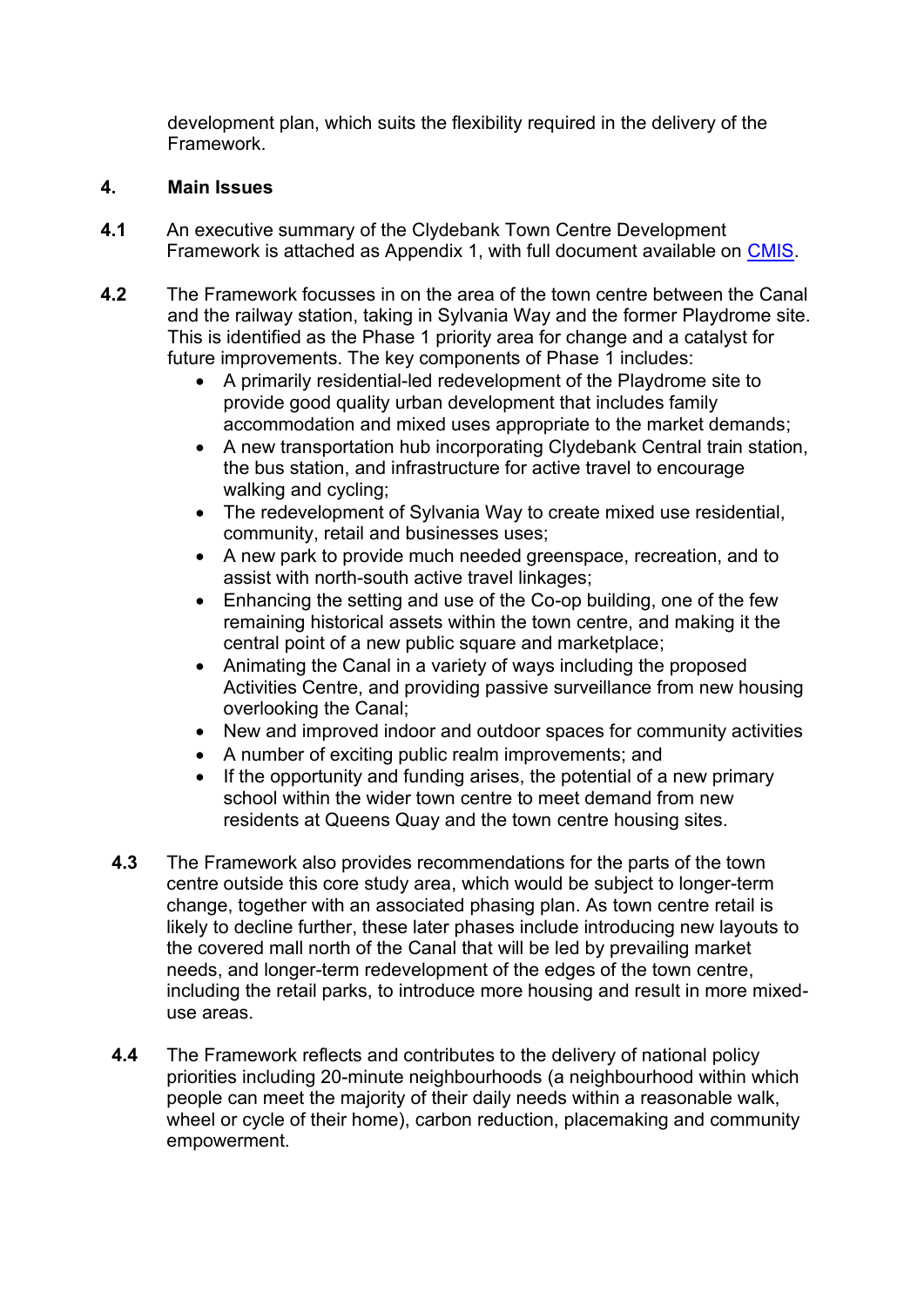development plan, which suits the flexibility required in the delivery of the Framework.

# **4. Main Issues**

- **4.1** An executive summary of the Clydebank Town Centre Development Framework is attached as Appendix 1, with full document available on [CMIS.](https://wdccmis.west-dunbarton.gov.uk/CMIS5/Document.ashx?czJKcaeAi5tUFL1DTL2UE4zNRBcoShgo=NIer1II1iDp%2fY6JAyc%2fHrwZ8JovW9YBbicSCyxpLKOO5DUNiHzEJ0g%3d%3d&rUzwRPf%2bZ3zd4E7Ikn8Lyw%3d%3d=pwRE6AGJFLDNlh225F5QMaQWCtPHwdhUfCZ%2fLUQzgA2uL5jNRG4jdQ%3d%3d&mCTIbCubSFfXsDGW9IXnlg%3d%3d=hFflUdN3100%3d&kCx1AnS9%2fpWZQ40DXFvdEw%3d%3d=hFflUdN3100%3d&uJovDxwdjMPoYv%2bAJvYtyA%3d%3d=ctNJFf55vVA%3d&FgPlIEJYlotS%2bYGoBi5olA%3d%3d=NHdURQburHA%3d&d9Qjj0ag1Pd993jsyOJqFvmyB7X0CSQK=ctNJFf55vVA%3d&WGewmoAfeNR9xqBux0r1Q8Za60lavYmz=ctNJFf55vVA%3d&WGewmoAfeNQ16B2MHuCpMRKZMwaG1PaO=ctNJFf55vVA%3d)
- **4.2** The Framework focusses in on the area of the town centre between the Canal and the railway station, taking in Sylvania Way and the former Playdrome site. This is identified as the Phase 1 priority area for change and a catalyst for future improvements. The key components of Phase 1 includes:
	- A primarily residential-led redevelopment of the Playdrome site to provide good quality urban development that includes family accommodation and mixed uses appropriate to the market demands;
	- A new transportation hub incorporating Clydebank Central train station, the bus station, and infrastructure for active travel to encourage walking and cycling;
	- The redevelopment of Sylvania Way to create mixed use residential, community, retail and businesses uses;
	- A new park to provide much needed greenspace, recreation, and to assist with north-south active travel linkages;
	- Enhancing the setting and use of the Co-op building, one of the few remaining historical assets within the town centre, and making it the central point of a new public square and marketplace;
	- Animating the Canal in a variety of ways including the proposed Activities Centre, and providing passive surveillance from new housing overlooking the Canal;
	- New and improved indoor and outdoor spaces for community activities
	- A number of exciting public realm improvements; and
	- If the opportunity and funding arises, the potential of a new primary school within the wider town centre to meet demand from new residents at Queens Quay and the town centre housing sites.
	- **4.3** The Framework also provides recommendations for the parts of the town centre outside this core study area, which would be subject to longer-term change, together with an associated phasing plan. As town centre retail is likely to decline further, these later phases include introducing new layouts to the covered mall north of the Canal that will be led by prevailing market needs, and longer-term redevelopment of the edges of the town centre, including the retail parks, to introduce more housing and result in more mixeduse areas.
	- **4.4** The Framework reflects and contributes to the delivery of national policy priorities including 20-minute neighbourhoods (a neighbourhood within which people can meet the majority of their daily needs within a reasonable walk, wheel or cycle of their home), carbon reduction, placemaking and community empowerment.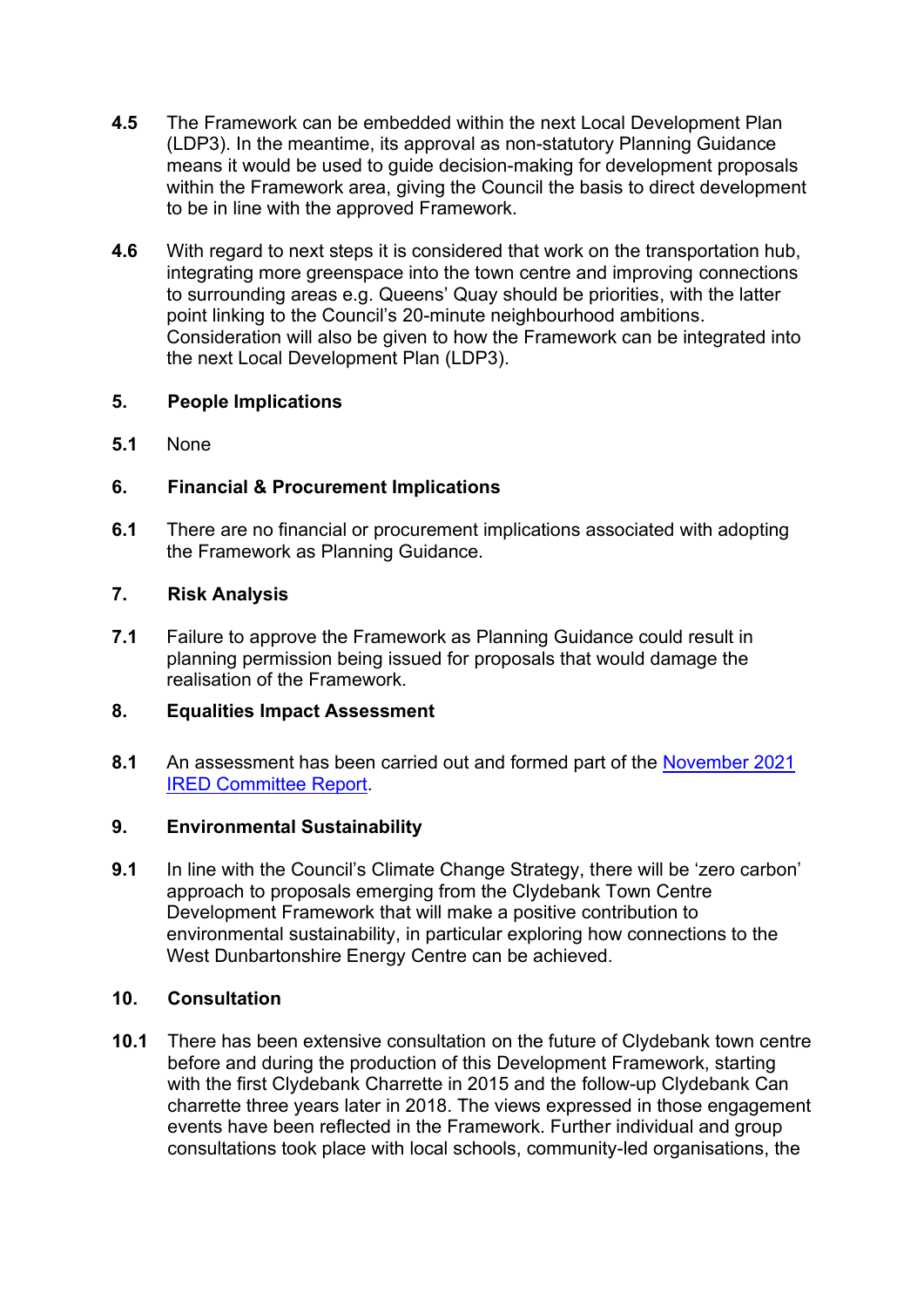- **4.5** The Framework can be embedded within the next Local Development Plan (LDP3). In the meantime, its approval as non-statutory Planning Guidance means it would be used to guide decision-making for development proposals within the Framework area, giving the Council the basis to direct development to be in line with the approved Framework.
- **4.6** With regard to next steps it is considered that work on the transportation hub, integrating more greenspace into the town centre and improving connections to surrounding areas e.g. Queens' Quay should be priorities, with the latter point linking to the Council's 20-minute neighbourhood ambitions. Consideration will also be given to how the Framework can be integrated into the next Local Development Plan (LDP3).

## **5. People Implications**

**5.1** None

### **6. Financial & Procurement Implications**

**6.1** There are no financial or procurement implications associated with adopting the Framework as Planning Guidance.

### **7. Risk Analysis**

**7.1** Failure to approve the Framework as Planning Guidance could result in planning permission being issued for proposals that would damage the realisation of the Framework.

#### **8. Equalities Impact Assessment**

**8.1** An assessment has been carried out and formed part of the [November 2021](https://wdccmis.west-dunbarton.gov.uk/CMIS5/Document.ashx?czJKcaeAi5tUFL1DTL2UE4zNRBcoShgo=VY%2fnlOLtOjJVZLhnRwyIUi7kfiOt96mOJ%2fGXvMJfZOEZB7vfL%2fcb1w%3d%3d&rUzwRPf%2bZ3zd4E7Ikn8Lyw%3d%3d=pwRE6AGJFLDNlh225F5QMaQWCtPHwdhUfCZ%2fLUQzgA2uL5jNRG4jdQ%3d%3d&mCTIbCubSFfXsDGW9IXnlg%3d%3d=hFflUdN3100%3d&kCx1AnS9%2fpWZQ40DXFvdEw%3d%3d=hFflUdN3100%3d&uJovDxwdjMPoYv%2bAJvYtyA%3d%3d=ctNJFf55vVA%3d&FgPlIEJYlotS%2bYGoBi5olA%3d%3d=NHdURQburHA%3d&d9Qjj0ag1Pd993jsyOJqFvmyB7X0CSQK=ctNJFf55vVA%3d&WGewmoAfeNR9xqBux0r1Q8Za60lavYmz=ctNJFf55vVA%3d&WGewmoAfeNQ16B2MHuCpMRKZMwaG1PaO=ctNJFf55vVA%3d)  [IRED Committee Report.](https://wdccmis.west-dunbarton.gov.uk/CMIS5/Document.ashx?czJKcaeAi5tUFL1DTL2UE4zNRBcoShgo=VY%2fnlOLtOjJVZLhnRwyIUi7kfiOt96mOJ%2fGXvMJfZOEZB7vfL%2fcb1w%3d%3d&rUzwRPf%2bZ3zd4E7Ikn8Lyw%3d%3d=pwRE6AGJFLDNlh225F5QMaQWCtPHwdhUfCZ%2fLUQzgA2uL5jNRG4jdQ%3d%3d&mCTIbCubSFfXsDGW9IXnlg%3d%3d=hFflUdN3100%3d&kCx1AnS9%2fpWZQ40DXFvdEw%3d%3d=hFflUdN3100%3d&uJovDxwdjMPoYv%2bAJvYtyA%3d%3d=ctNJFf55vVA%3d&FgPlIEJYlotS%2bYGoBi5olA%3d%3d=NHdURQburHA%3d&d9Qjj0ag1Pd993jsyOJqFvmyB7X0CSQK=ctNJFf55vVA%3d&WGewmoAfeNR9xqBux0r1Q8Za60lavYmz=ctNJFf55vVA%3d&WGewmoAfeNQ16B2MHuCpMRKZMwaG1PaO=ctNJFf55vVA%3d)

## **9. Environmental Sustainability**

**9.1** In line with the Council's Climate Change Strategy, there will be 'zero carbon' approach to proposals emerging from the Clydebank Town Centre Development Framework that will make a positive contribution to environmental sustainability, in particular exploring how connections to the West Dunbartonshire Energy Centre can be achieved.

#### **10. Consultation**

**10.1** There has been extensive consultation on the future of Clydebank town centre before and during the production of this Development Framework, starting with the first Clydebank Charrette in 2015 and the follow-up Clydebank Can charrette three years later in 2018. The views expressed in those engagement events have been reflected in the Framework. Further individual and group consultations took place with local schools, community-led organisations, the